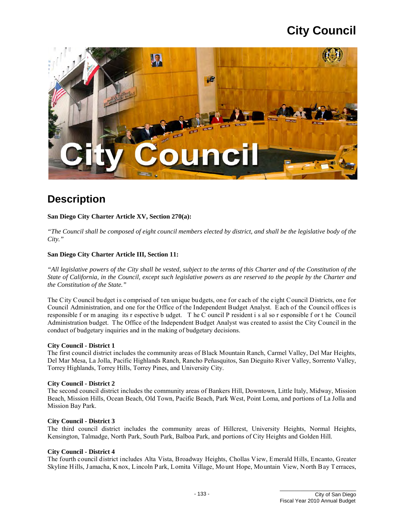

### **Description**

#### **San Diego City Charter Article XV, Section 270(a):**

*"The Council shall be composed of eight council members elected by district, and shall be the legislative body of the City."* 

#### **San Diego City Charter Article III, Section 11:**

 *"All legislative powers of the City shall be vested, subject to the terms of this Charter and of the Constitution of the the Constitution of the State." State of California, in the Council, except such legislative powers as are reserved to the people by the Charter and* 

 Administration budget. The Office of the Independent Budget Analyst was created to assist the City Council in the The City Council budget is comprised of ten unique budgets, one for each of the eight Council Districts, one for Council Administration, and one for the Office of the Independent Budget Analyst. E ach of the Council offices is responsible f or m anaging its r espective b udget. T he C ouncil P resident i s al so r esponsible f or t he Council conduct of budgetary inquiries and in the making of budgetary decisions.

#### **City Council - District 1**

 Del Mar Mesa, La Jolla, Pacific Highlands Ranch, Rancho Peñasquitos, San Dieguito River Valley, Sorrento Valley, The first council district includes the community areas of Black Mountain Ranch, Carmel Valley, Del Mar Heights, Torrey Highlands, Torrey Hills, Torrey Pines, and University City.

#### **City Council - District 2**

 Beach, Mission Hills, Ocean Beach, Old Town, Pacific Beach, Park West, Point Loma, and portions of La Jolla and The second council district includes the community areas of Bankers Hill, Downtown, Little Italy, Midway, Mission Mission Bay Park.

#### **City Council - District 3**

 The third council district includes the community areas of Hillcrest, University Heights, Normal Heights, Kensington, Talmadge, North Park, South Park, Balboa Park, and portions of City Heights and Golden Hill.

#### **City Council - District 4**

 The fourth council district includes Alta Vista, Broadway Heights, Chollas View, Emerald Hills, Encanto, Greater Skyline Hills, Jamacha, K nox, Lincoln P ark, Lomita Village, Mount Hope, Mountain View, North Bay Terraces,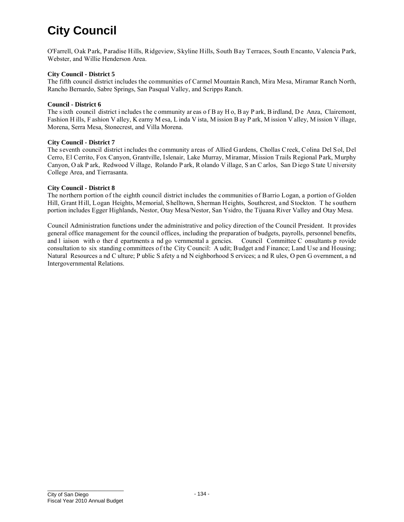Webster, and Willie Henderson Area. O'Farrell, Oak Park, Paradise Hills, Ridgeview, Skyline Hills, South Bay Terraces, South Encanto, Valencia Park,

#### **City Council - District 5**

The fifth council district includes the communities of Carmel Mountain Ranch, Mira Mesa, Miramar Ranch North, Rancho Bernardo, Sabre Springs, San Pasqual Valley, and Scripps Ranch.

#### **Council - District 6**

 The s ixth council district i ncludes t he c ommunity ar eas o f B ay H o, B ay P ark, B irdland, D e Anza, Clairemont, Fashion H ills, F ashion V alley, K earny M esa, L inda V ista, M ission B ay P ark, M ission V alley, M ission V illage, Morena, Serra Mesa, Stonecrest, and Villa Morena.

#### **City Council - District 7**

 The seventh council district includes the community areas of Allied Gardens, Chollas Creek, Colina Del Sol, Del Cerro, El Cerrito, Fox Canyon, Grantville, Islenair, Lake Murray, Miramar, Mission Trails Regional Park, Murphy Canyon, O ak P ark, Redwood V illage, Rolando P ark, R olando V illage, S an C arlos, San D iego S tate U niversity College Area, and Tierrasanta.

#### **City Council - District 8**

The northern portion of the eighth council district includes the communities of Barrio Logan, a portion of Golden Hill, Grant Hill, Logan Heights, Memorial, Shelltown, Sherman Heights, Southcrest, and Stockton. T he southern portion includes Egger Highlands, Nestor, Otay Mesa/Nestor, San Ysidro, the Tijuana River Valley and Otay Mesa.

 and l iaison with o ther d epartments a nd go vernmental a gencies. Council Committee C onsultants p rovide Council Administration functions under the administrative and policy direction of the Council President. It provides general office management for the council offices, including the preparation of budgets, payrolls, personnel benefits, consultation to six standing committees of the City Council: A udit; Budget and Finance; Land Use and Housing; Natural Resources a nd C ulture; P ublic S afety a nd N eighborhood S ervices; a nd R ules, O pen G overnment, a nd Intergovernmental Relations.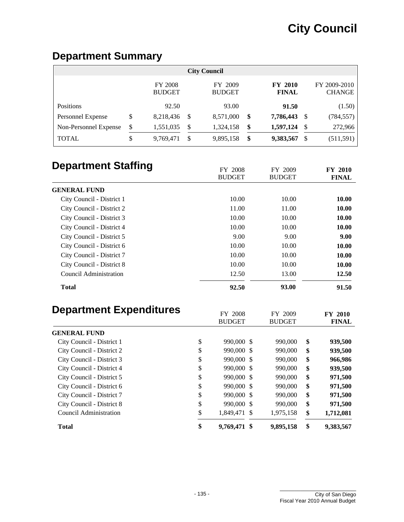### **Department Summary**

| <b>City Council</b>   |    |                                 |     |                          |    |                                |      |                               |  |  |
|-----------------------|----|---------------------------------|-----|--------------------------|----|--------------------------------|------|-------------------------------|--|--|
|                       |    | <b>FY 2008</b><br><b>BUDGET</b> |     | FY 2009<br><b>BUDGET</b> |    | <b>FY 2010</b><br><b>FINAL</b> |      | FY 2009-2010<br><b>CHANGE</b> |  |  |
| <b>Positions</b>      |    | 92.50                           |     | 93.00                    |    | 91.50                          |      | (1.50)                        |  |  |
| Personnel Expense     | \$ | 8,218,436                       | \$. | 8,571,000                | \$ | 7,786,443                      | S    | (784, 557)                    |  |  |
| Non-Personnel Expense | \$ | 1,551,035                       | S   | 1,324,158                | \$ | 1,597,124                      | - \$ | 272,966                       |  |  |
| <b>TOTAL</b>          | \$ | 9,769,471                       | S   | 9,895,158                | \$ | 9,383,567                      | S    | (511, 591)                    |  |  |

| <b>Department Staffing</b>     | FY 2008                  |     | FY 2009                  | <b>FY 2010</b>                 |
|--------------------------------|--------------------------|-----|--------------------------|--------------------------------|
|                                | <b>BUDGET</b>            |     | <b>BUDGET</b>            | <b>FINAL</b>                   |
| <b>GENERAL FUND</b>            |                          |     |                          |                                |
| City Council - District 1      | 10.00                    |     | 10.00                    | 10.00                          |
| City Council - District 2      | 11.00                    |     | 11.00                    | 10.00                          |
| City Council - District 3      | 10.00                    |     | 10.00                    | 10.00                          |
| City Council - District 4      | 10.00                    |     | 10.00                    | 10.00                          |
| City Council - District 5      | 9.00                     |     | 9.00                     | 9.00                           |
| City Council - District 6      | 10.00                    |     | 10.00                    | 10.00                          |
| City Council - District 7      | 10.00                    |     | 10.00                    | 10.00                          |
| City Council - District 8      | 10.00                    |     | 10.00                    | 10.00                          |
| <b>Council Administration</b>  | 12.50                    |     | 13.00                    | 12.50                          |
| <b>Total</b>                   | 92.50                    |     | 93.00                    | 91.50                          |
| <b>Department Expenditures</b> | FY 2008<br><b>BUDGET</b> |     | FY 2009<br><b>BUDGET</b> | <b>FY 2010</b><br><b>FINAL</b> |
| <b>GENERAL FUND</b>            |                          |     |                          |                                |
| City Council - District 1      | \$<br>990,000 \$         |     | 990,000                  | \$<br>939,500                  |
| City Council - District 2      | \$<br>990,000            | -S  | 990,000                  | \$<br>939,500                  |
| City Council - District 3      | \$<br>990,000 \$         |     | 990,000                  | \$<br>966,986                  |
| City Council - District 4      | \$<br>990,000            | -\$ | 990,000                  | \$<br>939,500                  |
| City Council - District 5      | \$<br>990,000            | -S  | 990,000                  | \$<br>971,500                  |
| City Council - District 6      | \$<br>990,000 \$         |     | 990,000                  | \$<br>971.500                  |

City Council - District 7 \$ 990,000 \$ 990,000 **\$ 971,500**  City Council - District 8 \$ 990,000 \$ 990,000 **\$ 971,500**  Council Administration \$ 1,849,471 \$ 1,975,158 **\$ 1,712,081 Total \$ 9,769,471 \$ 9,895,158 \$ 9,383,567**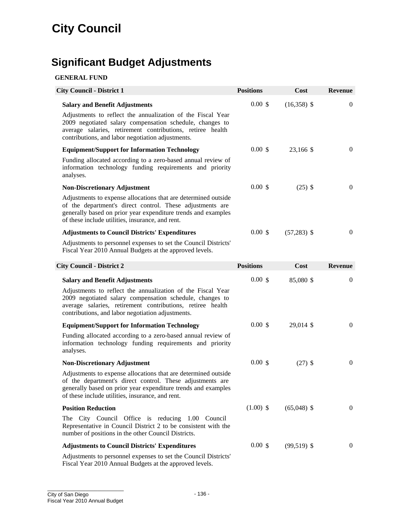## **Significant Budget Adjustments**

#### **GENERAL FUND**

| <b>City Council - District 1</b>                                                                                                                                                                                                                                                    | <b>Positions</b> | Cost          | <b>Revenue</b> |
|-------------------------------------------------------------------------------------------------------------------------------------------------------------------------------------------------------------------------------------------------------------------------------------|------------------|---------------|----------------|
| <b>Salary and Benefit Adjustments</b><br>Adjustments to reflect the annualization of the Fiscal Year<br>2009 negotiated salary compensation schedule, changes to<br>average salaries, retirement contributions, retiree health<br>contributions, and labor negotiation adjustments. | 0.00~\$          | $(16,358)$ \$ | $\theta$       |
| <b>Equipment/Support for Information Technology</b>                                                                                                                                                                                                                                 | 0.00~\$          | 23,166 \$     | $\overline{0}$ |
| Funding allocated according to a zero-based annual review of<br>information technology funding requirements and priority<br>analyses.                                                                                                                                               |                  |               |                |
| <b>Non-Discretionary Adjustment</b>                                                                                                                                                                                                                                                 | 0.00~\$          | $(25)$ \$     | $\mathbf{0}$   |
| Adjustments to expense allocations that are determined outside<br>of the department's direct control. These adjustments are<br>generally based on prior year expenditure trends and examples<br>of these include utilities, insurance, and rent.                                    |                  |               |                |
| <b>Adjustments to Council Districts' Expenditures</b>                                                                                                                                                                                                                               | $0.00 \text{ s}$ | $(57,283)$ \$ | $\theta$       |
| Adjustments to personnel expenses to set the Council Districts'<br>Fiscal Year 2010 Annual Budgets at the approved levels.                                                                                                                                                          |                  |               |                |
| <b>City Council - District 2</b>                                                                                                                                                                                                                                                    | <b>Positions</b> | Cost          | <b>Revenue</b> |
| <b>Salary and Benefit Adjustments</b>                                                                                                                                                                                                                                               | 0.00~\$          | 85,080 \$     | $\theta$       |
| Adjustments to reflect the annualization of the Fiscal Year<br>2009 negotiated salary compensation schedule, changes to<br>average salaries, retirement contributions, retiree health<br>contributions, and labor negotiation adjustments.                                          |                  |               |                |
| <b>Equipment/Support for Information Technology</b>                                                                                                                                                                                                                                 | 0.00~\$          | 29,014 \$     | $\mathbf{0}$   |
| Funding allocated according to a zero-based annual review of<br>information technology funding requirements and priority<br>analyses.                                                                                                                                               |                  |               |                |
| <b>Non-Discretionary Adjustment</b>                                                                                                                                                                                                                                                 | 0.00~\$          | $(27)$ \$     | $\theta$       |
| Adjustments to expense allocations that are determined outside<br>of the department's direct control. These adjustments are<br>generally based on prior year expenditure trends and examples<br>of these include utilities, insurance, and rent.                                    |                  |               |                |
| <b>Position Reduction</b>                                                                                                                                                                                                                                                           | $(1.00)$ \$      | $(65,048)$ \$ | $\theta$       |
| The City Council Office is reducing 1.00 Council<br>Representative in Council District 2 to be consistent with the<br>number of positions in the other Council Districts.                                                                                                           |                  |               |                |
| <b>Adjustments to Council Districts' Expenditures</b>                                                                                                                                                                                                                               | 0.00~\$          | $(99,519)$ \$ | $\theta$       |
| Adjustments to personnel expenses to set the Council Districts'                                                                                                                                                                                                                     |                  |               |                |

Fiscal Year 2010 Annual Budgets at the approved levels.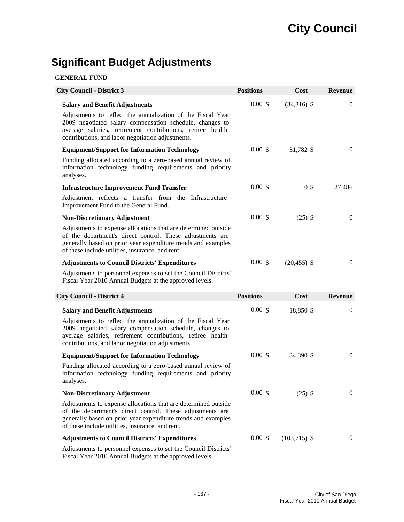## **Significant Budget Adjustments**

### **GENERAL FUND**

| <b>City Council - District 3</b>                                                                                                                                                                                                                                                    | <b>Positions</b> | Cost           | <b>Revenue</b> |
|-------------------------------------------------------------------------------------------------------------------------------------------------------------------------------------------------------------------------------------------------------------------------------------|------------------|----------------|----------------|
| <b>Salary and Benefit Adjustments</b><br>Adjustments to reflect the annualization of the Fiscal Year<br>2009 negotiated salary compensation schedule, changes to<br>average salaries, retirement contributions, retiree health<br>contributions, and labor negotiation adjustments. | 0.00~\$          | $(34,316)$ \$  | 0              |
| <b>Equipment/Support for Information Technology</b>                                                                                                                                                                                                                                 | 0.00~\$          | 31,782 \$      | $\theta$       |
| Funding allocated according to a zero-based annual review of<br>information technology funding requirements and priority<br>analyses.                                                                                                                                               |                  |                |                |
| <b>Infrastructure Improvement Fund Transfer</b>                                                                                                                                                                                                                                     | 0.00~\$          | 0 <sup>3</sup> | 27,486         |
| Adjustment reflects a transfer from the Infrastructure<br>Improvement Fund to the General Fund.                                                                                                                                                                                     |                  |                |                |
| <b>Non-Discretionary Adjustment</b>                                                                                                                                                                                                                                                 | 0.00~\$          | $(25)$ \$      | $\theta$       |
| Adjustments to expense allocations that are determined outside<br>of the department's direct control. These adjustments are<br>generally based on prior year expenditure trends and examples<br>of these include utilities, insurance, and rent.                                    |                  |                |                |
| <b>Adjustments to Council Districts' Expenditures</b>                                                                                                                                                                                                                               | 0.00~\$          | $(20, 455)$ \$ | $\mathbf{0}$   |
| Adjustments to personnel expenses to set the Council Districts'<br>Fiscal Year 2010 Annual Budgets at the approved levels.                                                                                                                                                          |                  |                |                |
| <b>City Council - District 4</b>                                                                                                                                                                                                                                                    | <b>Positions</b> | Cost           | <b>Revenue</b> |
| <b>Salary and Benefit Adjustments</b>                                                                                                                                                                                                                                               | 0.00~\$          | 18,850 \$      | $\theta$       |
| Adjustments to reflect the annualization of the Fiscal Year<br>2009 negotiated salary compensation schedule, changes to<br>average salaries, retirement contributions, retiree health<br>contributions, and labor negotiation adjustments.                                          |                  |                |                |
| <b>Equipment/Support for Information Technology</b>                                                                                                                                                                                                                                 | 0.00~\$          | 34,390 \$      | $\theta$       |
| Funding allocated according to a zero-based annual review of<br>information technology funding requirements and priority<br>analyses.                                                                                                                                               |                  |                |                |
| <b>Non-Discretionary Adjustment</b>                                                                                                                                                                                                                                                 | $0.00 \text{ s}$ | $(25)$ \$      | $\mathbf{0}$   |
| Adjustments to expense allocations that are determined outside<br>of the department's direct control. These adjustments are<br>generally based on prior year expenditure trends and examples<br>of these include utilities, insurance, and rent.                                    |                  |                |                |
| <b>Adjustments to Council Districts' Expenditures</b>                                                                                                                                                                                                                               | 0.00~\$          | $(103,715)$ \$ | $\mathbf{0}$   |
| Adjustments to personnel expenses to set the Council Districts'<br>Fiscal Year 2010 Annual Budgets at the approved levels.                                                                                                                                                          |                  |                |                |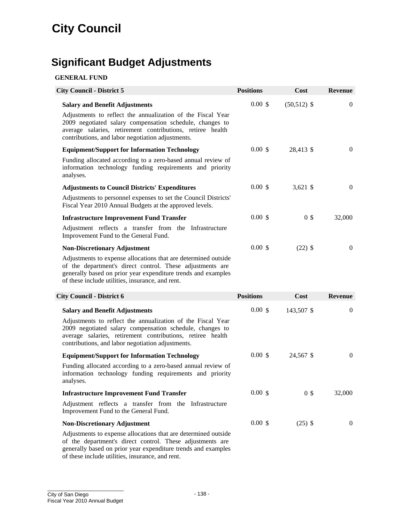## **Significant Budget Adjustments**

#### **GENERAL FUND**

| <b>City Council - District 5</b>                                                                                                                                                                                                                                                    | <b>Positions</b> | Cost           | <b>Revenue</b>   |
|-------------------------------------------------------------------------------------------------------------------------------------------------------------------------------------------------------------------------------------------------------------------------------------|------------------|----------------|------------------|
| <b>Salary and Benefit Adjustments</b><br>Adjustments to reflect the annualization of the Fiscal Year<br>2009 negotiated salary compensation schedule, changes to<br>average salaries, retirement contributions, retiree health<br>contributions, and labor negotiation adjustments. | 0.00~\$          | $(50,512)$ \$  | $\boldsymbol{0}$ |
| <b>Equipment/Support for Information Technology</b>                                                                                                                                                                                                                                 | 0.00~\$          | 28,413 \$      | $\theta$         |
| Funding allocated according to a zero-based annual review of<br>information technology funding requirements and priority<br>analyses.                                                                                                                                               |                  |                |                  |
| <b>Adjustments to Council Districts' Expenditures</b>                                                                                                                                                                                                                               | 0.00~\$          | 3,621 \$       | $\theta$         |
| Adjustments to personnel expenses to set the Council Districts'<br>Fiscal Year 2010 Annual Budgets at the approved levels.                                                                                                                                                          |                  |                |                  |
| <b>Infrastructure Improvement Fund Transfer</b>                                                                                                                                                                                                                                     | $0.00 \text{ s}$ | 0 <sup>3</sup> | 32,000           |
| Adjustment reflects a transfer from the Infrastructure<br>Improvement Fund to the General Fund.                                                                                                                                                                                     |                  |                |                  |
| <b>Non-Discretionary Adjustment</b>                                                                                                                                                                                                                                                 | 0.00~\$          | $(22)$ \$      | $\theta$         |
| Adjustments to expense allocations that are determined outside<br>of the department's direct control. These adjustments are<br>generally based on prior year expenditure trends and examples<br>of these include utilities, insurance, and rent.                                    |                  |                |                  |
| <b>City Council - District 6</b>                                                                                                                                                                                                                                                    | <b>Positions</b> | Cost           | <b>Revenue</b>   |
| <b>Salary and Benefit Adjustments</b>                                                                                                                                                                                                                                               | 0.00~\$          | 143,507 \$     | $\theta$         |
| Adjustments to reflect the annualization of the Fiscal Year<br>2009 negotiated salary compensation schedule, changes to<br>average salaries, retirement contributions, retiree health<br>contributions, and labor negotiation adjustments.                                          |                  |                |                  |
| <b>Equipment/Support for Information Technology</b>                                                                                                                                                                                                                                 | 0.00~\$          | 24,567 \$      | $\theta$         |
| Funding allocated according to a zero-based annual review of<br>information technology funding requirements and priority<br>analyses.                                                                                                                                               |                  |                |                  |
| <b>Infrastructure Improvement Fund Transfer</b>                                                                                                                                                                                                                                     | $0.00 \text{ s}$ | 0 <sup>s</sup> | 32,000           |
| Adjustment reflects a transfer from the Infrastructure<br>Improvement Fund to the General Fund.                                                                                                                                                                                     |                  |                |                  |
| <b>Non-Discretionary Adjustment</b>                                                                                                                                                                                                                                                 | 0.00~\$          | $(25)$ \$      | $\theta$         |
| Adjustments to expense allocations that are determined outside<br>of the department's direct control. These adjustments are<br>generally based on prior year expenditure trends and examples                                                                                        |                  |                |                  |

of these include utilities, insurance, and rent.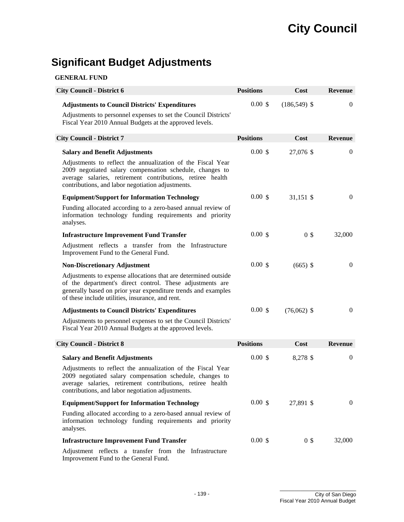## **Significant Budget Adjustments**

| <b>GENERAL FUND</b> |  |
|---------------------|--|
|---------------------|--|

| <b>City Council - District 6</b>                                                                                                                                                                                                                 | <b>Positions</b> | Cost            | <b>Revenue</b>   |
|--------------------------------------------------------------------------------------------------------------------------------------------------------------------------------------------------------------------------------------------------|------------------|-----------------|------------------|
| <b>Adjustments to Council Districts' Expenditures</b><br>Adjustments to personnel expenses to set the Council Districts'                                                                                                                         | 0.00~\$          | $(186, 549)$ \$ | $\mathbf{0}$     |
| Fiscal Year 2010 Annual Budgets at the approved levels.                                                                                                                                                                                          |                  |                 |                  |
| <b>City Council - District 7</b>                                                                                                                                                                                                                 | <b>Positions</b> | Cost            | <b>Revenue</b>   |
| <b>Salary and Benefit Adjustments</b>                                                                                                                                                                                                            | 0.00~\$          | 27,076 \$       | $\theta$         |
| Adjustments to reflect the annualization of the Fiscal Year<br>2009 negotiated salary compensation schedule, changes to<br>average salaries, retirement contributions, retiree health<br>contributions, and labor negotiation adjustments.       |                  |                 |                  |
| <b>Equipment/Support for Information Technology</b>                                                                                                                                                                                              | $0.00 \text{ s}$ | 31,151 \$       | $\theta$         |
| Funding allocated according to a zero-based annual review of<br>information technology funding requirements and priority<br>analyses.                                                                                                            |                  |                 |                  |
| <b>Infrastructure Improvement Fund Transfer</b>                                                                                                                                                                                                  | $0.00 \text{ s}$ | 0 <sup>3</sup>  | 32,000           |
| Adjustment reflects a transfer from the Infrastructure<br>Improvement Fund to the General Fund.                                                                                                                                                  |                  |                 |                  |
| <b>Non-Discretionary Adjustment</b>                                                                                                                                                                                                              | 0.00~\$          | $(665)$ \$      | $\mathbf{0}$     |
| Adjustments to expense allocations that are determined outside<br>of the department's direct control. These adjustments are<br>generally based on prior year expenditure trends and examples<br>of these include utilities, insurance, and rent. |                  |                 |                  |
| <b>Adjustments to Council Districts' Expenditures</b>                                                                                                                                                                                            | 0.00~\$          | $(76,062)$ \$   | $\boldsymbol{0}$ |
| Adjustments to personnel expenses to set the Council Districts'<br>Fiscal Year 2010 Annual Budgets at the approved levels.                                                                                                                       |                  |                 |                  |
| <b>City Council - District 8</b>                                                                                                                                                                                                                 | <b>Positions</b> | Cost            | Revenue          |
| <b>Salary and Benefit Adjustments</b>                                                                                                                                                                                                            | 0.00~\$          | 8,278 \$        | $\boldsymbol{0}$ |
| Adjustments to reflect the annualization of the Fiscal Year<br>2009 negotiated salary compensation schedule, changes to<br>average salaries, retirement contributions, retiree health<br>contributions, and labor negotiation adjustments.       |                  |                 |                  |
| <b>Equipment/Support for Information Technology</b>                                                                                                                                                                                              | $0.00 \text{ s}$ | 27,891 \$       | $\theta$         |
| Funding allocated according to a zero-based annual review of<br>information technology funding requirements and priority<br>analyses.                                                                                                            |                  |                 |                  |
| <b>Infrastructure Improvement Fund Transfer</b>                                                                                                                                                                                                  | 0.00~\$          | 0 <sup>3</sup>  | 32,000           |
| Adjustment reflects a transfer from the Infrastructure<br>Improvement Fund to the General Fund.                                                                                                                                                  |                  |                 |                  |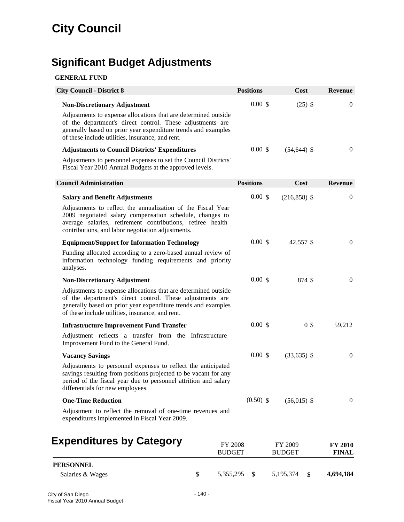# **Significant Budget Adjustments**

### **GENERAL FUND**

| <b>City Council - District 8</b>                                                                                                                                                                                                                                                        | <b>Positions</b>                | Cost                     | <b>Revenue</b>                 |
|-----------------------------------------------------------------------------------------------------------------------------------------------------------------------------------------------------------------------------------------------------------------------------------------|---------------------------------|--------------------------|--------------------------------|
| <b>Non-Discretionary Adjustment</b><br>Adjustments to expense allocations that are determined outside<br>of the department's direct control. These adjustments are<br>generally based on prior year expenditure trends and examples<br>of these include utilities, insurance, and rent. | 0.00~\$                         | $(25)$ \$                | $\mathbf{0}$                   |
| <b>Adjustments to Council Districts' Expenditures</b>                                                                                                                                                                                                                                   | 0.00~\$                         | $(54, 644)$ \$           | $\theta$                       |
| Adjustments to personnel expenses to set the Council Districts'<br>Fiscal Year 2010 Annual Budgets at the approved levels.                                                                                                                                                              |                                 |                          |                                |
| <b>Council Administration</b>                                                                                                                                                                                                                                                           | <b>Positions</b>                | Cost                     | <b>Revenue</b>                 |
| <b>Salary and Benefit Adjustments</b>                                                                                                                                                                                                                                                   | 0.00~\$                         | $(216,858)$ \$           | $\theta$                       |
| Adjustments to reflect the annualization of the Fiscal Year<br>2009 negotiated salary compensation schedule, changes to<br>average salaries, retirement contributions, retiree health<br>contributions, and labor negotiation adjustments.                                              |                                 |                          |                                |
| <b>Equipment/Support for Information Technology</b>                                                                                                                                                                                                                                     | 0.00~\$                         | 42,557 \$                | $\mathbf{0}$                   |
| Funding allocated according to a zero-based annual review of<br>information technology funding requirements and priority<br>analyses.                                                                                                                                                   |                                 |                          |                                |
| <b>Non-Discretionary Adjustment</b>                                                                                                                                                                                                                                                     | 0.00~\$                         | 874 \$                   | $\mathbf{0}$                   |
| Adjustments to expense allocations that are determined outside<br>of the department's direct control. These adjustments are<br>generally based on prior year expenditure trends and examples<br>of these include utilities, insurance, and rent.                                        |                                 |                          |                                |
| <b>Infrastructure Improvement Fund Transfer</b>                                                                                                                                                                                                                                         | 0.00~\$                         | 0 <sup>3</sup>           | 59,212                         |
| Adjustment reflects a transfer from the Infrastructure<br>Improvement Fund to the General Fund.                                                                                                                                                                                         |                                 |                          |                                |
| <b>Vacancy Savings</b>                                                                                                                                                                                                                                                                  | 0.00~\$                         | $(33,635)$ \$            | $\mathbf{0}$                   |
| Adjustments to personnel expenses to reflect the anticipated<br>savings resulting from positions projected to be vacant for any<br>period of the fiscal year due to personnel attrition and salary<br>differentials for new employees.                                                  |                                 |                          |                                |
| <b>One-Time Reduction</b>                                                                                                                                                                                                                                                               | $(0.50)$ \$                     | $(56,015)$ \$            | $\mathbf{0}$                   |
| Adjustment to reflect the removal of one-time revenues and<br>expenditures implemented in Fiscal Year 2009.                                                                                                                                                                             |                                 |                          |                                |
| <b>Expenditures by Category</b>                                                                                                                                                                                                                                                         | <b>FY 2008</b><br><b>BUDGET</b> | FY 2009<br><b>BUDGET</b> | <b>FY 2010</b><br><b>FINAL</b> |

| <b>PERSONNEL</b> |              |             |      |           |
|------------------|--------------|-------------|------|-----------|
| Salaries & Wages | 5,355,295 \$ | 5, 195, 374 | - \$ | 4,694,184 |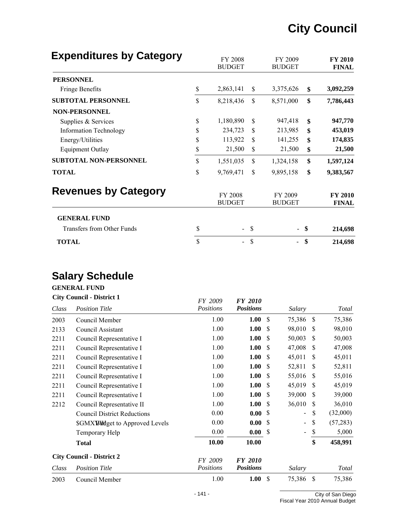| <b>Expenditures by Category</b> | FY 2008<br><b>BUDGET</b> |               | FY 2009<br><b>BUDGET</b> |               | <b>FY 2010</b><br><b>FINAL</b> |
|---------------------------------|--------------------------|---------------|--------------------------|---------------|--------------------------------|
| <b>PERSONNEL</b>                |                          |               |                          |               |                                |
| Fringe Benefits                 | \$<br>2,863,141          | \$            | 3,375,626                | \$            | 3,092,259                      |
| <b>SUBTOTAL PERSONNEL</b>       | \$<br>8,218,436          | \$            | 8,571,000                | \$            | 7,786,443                      |
| <b>NON-PERSONNEL</b>            |                          |               |                          |               |                                |
| Supplies & Services             | \$<br>1,180,890          | \$            | 947,418                  | $\mathbf{\$}$ | 947,770                        |
| <b>Information Technology</b>   | \$<br>234,723            | \$            | 213,985                  | \$            | 453,019                        |
| Energy/Utilities                | \$<br>113,922            | \$            | 141,255                  | \$            | 174,835                        |
| <b>Equipment Outlay</b>         | \$<br>21,500             | \$            | 21,500                   | \$            | 21,500                         |
| <b>SUBTOTAL NON-PERSONNEL</b>   | \$<br>1,551,035          | \$            | 1,324,158                | \$            | 1,597,124                      |
| <b>TOTAL</b>                    | \$<br>9,769,471          | \$            | 9,895,158                | \$            | 9,383,567                      |
| <b>Revenues by Category</b>     | FY 2008<br><b>BUDGET</b> |               | FY 2009<br><b>BUDGET</b> |               | <b>FY 2010</b><br><b>FINAL</b> |
| <b>GENERAL FUND</b>             |                          |               |                          |               |                                |
| Transfers from Other Funds      | \$                       | <sup>\$</sup> |                          | \$            | 214,698                        |
| <b>TOTAL</b>                    | \$                       | \$            |                          | \$            | 214,698                        |

## **Salary Schedule**

## **GENERAL FUND**<br>City Council District 1

| <b>City Council - District 1</b> |                                    | FY 2009   | <b>FY 2010</b>   |     |                          |               |           |
|----------------------------------|------------------------------------|-----------|------------------|-----|--------------------------|---------------|-----------|
| Class                            | <b>Position Title</b>              | Positions | <b>Positions</b> |     | Salary                   |               | Total     |
| 2003                             | Council Member                     | 1.00      | 1.00             | -\$ | 75,386                   | -S            | 75,386    |
| 2133                             | Council Assistant                  | 1.00      | 1.00             | \$  | 98,010                   | <sup>\$</sup> | 98,010    |
| 2211                             | Council Representative I           | 1.00      | 1.00             | \$  | 50,003                   | S             | 50,003    |
| 2211                             | Council Representative I           | 1.00      | 1.00             | \$  | 47,008                   | <sup>\$</sup> | 47,008    |
| 2211                             | Council Representative I           | 1.00      | 1.00             | \$  | 45,011                   | <sup>\$</sup> | 45,011    |
| 2211                             | Council Representative I           | 1.00      | 1.00             | S   | 52,811                   | S             | 52,811    |
| 2211                             | Council Representative I           | 1.00      | 1.00             | \$  | 55,016                   | <sup>\$</sup> | 55,016    |
| 2211                             | Council Representative I           | 1.00      | 1.00             | \$  | 45,019                   | <sup>\$</sup> | 45,019    |
| 2211                             | Council Representative I           | 1.00      | 1.00             | \$  | 39,000                   | <sup>\$</sup> | 39,000    |
| 2212                             | Council Representative II          | 1.00      | 1.00             | \$  | 36,010                   | <sup>\$</sup> | 36,010    |
|                                  | <b>Council District Reductions</b> | 0.00      | 0.00             | S   | $\overline{\phantom{a}}$ | \$            | (32,000)  |
|                                  | \$GMXBWdget to Approved Levels     | 0.00      | 0.00             | S   | $\blacksquare$           | \$            | (57, 283) |
|                                  | Temporary Help                     | 0.00      | 0.00             | \$  | $\overline{\phantom{0}}$ | \$            | 5,000     |
|                                  | <b>Total</b>                       | 10.00     | 10.00            |     |                          | \$            | 458,991   |
|                                  | <b>City Council - District 2</b>   | FY 2009   | <b>FY 2010</b>   |     |                          |               |           |
| Class                            | <b>Position Title</b>              | Positions | <b>Positions</b> |     | Salary                   |               | Total     |
| 2003                             | Council Member                     | 1.00      | 1.00             | \$  | 75,386                   | \$            | 75,386    |
|                                  |                                    |           |                  |     |                          |               |           |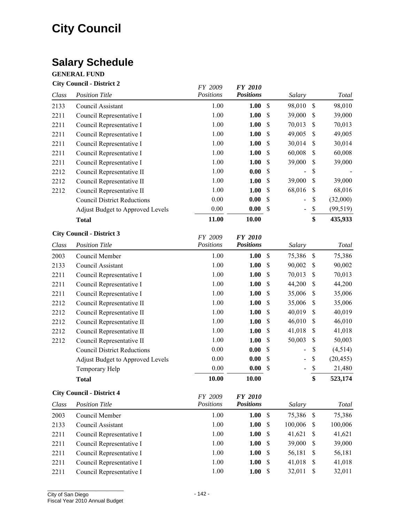## **Salary Schedule**

### **GENERAL FUND**

### **City Council - District 2** *FY 2009 FY 2010*

|       |                                    | 1 Y 2009             | <i>FY 2010</i>                     |                           |        |             |           |
|-------|------------------------------------|----------------------|------------------------------------|---------------------------|--------|-------------|-----------|
| Class | <b>Position Title</b>              | Positions            | <b>Positions</b>                   |                           | Salary |             | Total     |
| 2133  | Council Assistant                  | 1.00                 | 1.00                               | $\mathbb{S}$              | 98,010 | $\mathbb S$ | 98,010    |
| 2211  | Council Representative I           | 1.00                 | 1.00                               | $\boldsymbol{\mathsf{S}}$ | 39,000 | \$          | 39,000    |
| 2211  | Council Representative I           | 1.00                 | 1.00                               | \$                        | 70,013 | \$          | 70,013    |
| 2211  | Council Representative I           | 1.00                 | 1.00                               | \$                        | 49,005 | \$          | 49,005    |
| 2211  | Council Representative I           | 1.00                 | 1.00                               | \$                        | 30,014 | \$          | 30,014    |
| 2211  | Council Representative I           | 1.00                 | 1.00                               | \$                        | 60,008 | \$          | 60,008    |
| 2211  | Council Representative I           | 1.00                 | 1.00                               | $\boldsymbol{\mathsf{S}}$ | 39,000 | \$          | 39,000    |
| 2212  | Council Representative II          | 1.00                 | 0.00                               | \$                        |        | \$          |           |
| 2212  | Council Representative II          | 1.00                 | 1.00                               | $\boldsymbol{\mathsf{S}}$ | 39,000 | \$          | 39,000    |
| 2212  | Council Representative II          | 1.00                 | 1.00                               | \$                        | 68,016 | \$          | 68,016    |
|       | <b>Council District Reductions</b> | $0.00\,$             | 0.00                               | $\boldsymbol{\mathsf{S}}$ |        | \$          | (32,000)  |
|       | Adjust Budget to Approved Levels   | 0.00                 | 0.00                               | $\boldsymbol{\mathsf{S}}$ |        | \$          | (99, 519) |
|       | <b>Total</b>                       | 11.00                | 10.00                              |                           |        | \$          | 435,933   |
|       | <b>City Council - District 3</b>   |                      |                                    |                           |        |             |           |
| Class | <b>Position Title</b>              | FY 2009<br>Positions | <b>FY 2010</b><br><b>Positions</b> |                           | Salary |             | Total     |
| 2003  | Council Member                     | 1.00                 | 1.00                               | $\mathbb{S}$              | 75,386 | $\mathbb S$ | 75,386    |
| 2133  | Council Assistant                  | 1.00                 | 1.00                               | $\boldsymbol{\mathsf{S}}$ | 90,002 | \$          | 90,002    |
| 2211  | Council Representative I           | 1.00                 | 1.00                               | \$                        | 70,013 | \$          | 70,013    |
| 2211  | Council Representative I           | 1.00                 | 1.00                               | $\mathbb{S}$              | 44,200 | \$          | 44,200    |
| 2211  | Council Representative I           | 1.00                 | 1.00                               | \$                        | 35,006 | \$          | 35,006    |
| 2212  | Council Representative II          | 1.00                 | 1.00                               | \$                        | 35,006 | \$          | 35,006    |
| 2212  | Council Representative II          | 1.00                 | 1.00                               | \$                        | 40,019 | \$          | 40,019    |
| 2212  | Council Representative II          | 1.00                 | 1.00                               | \$                        | 46,010 | \$          | 46,010    |
| 2212  | Council Representative II          | 1.00                 | 1.00                               | \$                        | 41,018 | \$          | 41,018    |
| 2212  | Council Representative II          | 1.00                 | 1.00                               | \$                        | 50,003 | $\$$        | 50,003    |
|       | <b>Council District Reductions</b> | $0.00\,$             | 0.00                               | $\boldsymbol{\mathsf{S}}$ |        | \$          | (4,514)   |
|       | Adjust Budget to Approved Levels   | $0.00\,$             | 0.00                               | \$                        |        | \$          | (20, 455) |
|       | Temporary Help                     | $0.00\,$             | 0.00                               | $\mathcal{S}$             |        | \$          | 21,480    |
|       | <b>Total</b>                       | 10.00                | 10.00                              |                           |        | \$          | 523,174   |
|       | <b>City Council - District 4</b>   | FY 2009              | <b>FY 2010</b>                     |                           |        |             |           |
| Class | <b>Position Title</b>              | Positions            | <b>Positions</b>                   |                           | Salary |             | Total     |
|       |                                    |                      |                                    |                           |        |             |           |

| 2003 | Council Member           | 1.00<br>1.00 | - \$ | 75,386 \$ |      | 75,386  |
|------|--------------------------|--------------|------|-----------|------|---------|
| 2133 | Council Assistant        | 1.00<br>1.00 | -S   | 100,006   | - \$ | 100,006 |
| 2211 | Council Representative I | 1.00<br>1.00 | - \$ | 41,621    | - S  | 41,621  |
| 2211 | Council Representative I | 1.00<br>1.00 | - \$ | 39,000    | - \$ | 39,000  |
| 2211 | Council Representative I | 1.00<br>1.00 | - \$ | 56,181    | - S  | 56,181  |
| 2211 | Council Representative I | 1.00<br>1.00 | - \$ | 41.018    |      | 41,018  |
| 2211 | Council Representative I | 1.00<br>1.00 | - S  | 32,011    |      | 32,011  |
|      |                          |              |      |           |      |         |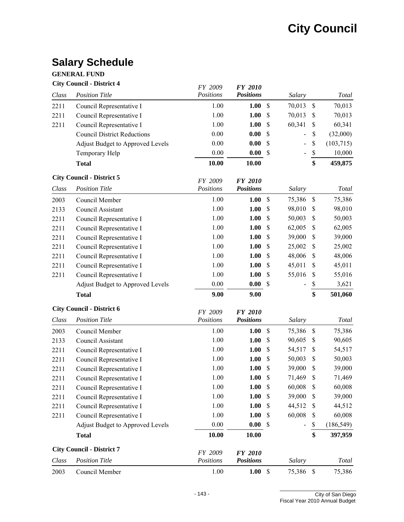### **Salary Schedule**

#### **GENERAL FUND**

### **City Council - District 4** *FY 2009 FY 2010*

|       |                                         | <i>FY 2009</i> | <i>FY 2010</i>   |                           |                              |             |            |
|-------|-----------------------------------------|----------------|------------------|---------------------------|------------------------------|-------------|------------|
| Class | <b>Position Title</b>                   | Positions      | <b>Positions</b> |                           | Salary                       |             | Total      |
| 2211  | Council Representative I                | 1.00           | 1.00             | $\mathbb{S}$              | 70,013                       | $\mathbb S$ | 70,013     |
| 2211  | Council Representative I                | 1.00           | 1.00             | \$                        | 70,013                       | \$          | 70,013     |
| 2211  | Council Representative I                | 1.00           | 1.00             | \$                        | 60,341                       | \$          | 60,341     |
|       | <b>Council District Reductions</b>      | 0.00           | 0.00             | \$                        | $\blacksquare$               | \$          | (32,000)   |
|       | <b>Adjust Budget to Approved Levels</b> | $0.00\,$       | 0.00             | \$                        | $\qquad \qquad \blacksquare$ | \$          | (103, 715) |
|       | Temporary Help                          | 0.00           | 0.00             | $\mathcal{S}$             | $\blacksquare$               | $\$$        | 10,000     |
|       | <b>Total</b>                            | 10.00          | 10.00            |                           |                              | \$          | 459,875    |
|       | <b>City Council - District 5</b>        | FY 2009        | <b>FY 2010</b>   |                           |                              |             |            |
| Class | <b>Position Title</b>                   | Positions      | <b>Positions</b> |                           | Salary                       |             | Total      |
| 2003  | Council Member                          | 1.00           | 1.00             | \$                        | 75,386                       | $\mathbb S$ | 75,386     |
| 2133  | Council Assistant                       | 1.00           | 1.00             | $\boldsymbol{\mathsf{S}}$ | 98,010                       | \$          | 98,010     |
| 2211  | Council Representative I                | 1.00           | 1.00             | \$                        | 50,003                       | \$          | 50,003     |
| 2211  | Council Representative I                | 1.00           | 1.00             | S                         | 62,005                       | \$          | 62,005     |
| 2211  | Council Representative I                | 1.00           | 1.00             | \$                        | 39,000                       | \$          | 39,000     |
| 2211  | Council Representative I                | 1.00           | 1.00             | \$                        | 25,002                       | \$          | 25,002     |
| 2211  | Council Representative I                | 1.00           | 1.00             | \$                        | 48,006                       | \$          | 48,006     |
| 2211  | Council Representative I                | 1.00           | 1.00             | \$                        | 45,011                       | \$          | 45,011     |
| 2211  | Council Representative I                | 1.00           | 1.00             | \$                        | 55,016                       | \$          | 55,016     |
|       | <b>Adjust Budget to Approved Levels</b> | $0.00\,$       | 0.00             | \$                        |                              | \$          | 3,621      |
|       | <b>Total</b>                            | 9.00           | 9.00             |                           |                              | \$          | 501,060    |
|       |                                         |                |                  |                           |                              |             |            |
|       | <b>City Council - District 6</b>        | FY 2009        | <b>FY 2010</b>   |                           |                              |             |            |
| Class | <b>Position Title</b>                   | Positions      | <b>Positions</b> |                           | Salary                       |             | Total      |
| 2003  | Council Member                          | 1.00           | 1.00             | \$                        | 75,386                       | $\mathbb S$ | 75,386     |
| 2133  | Council Assistant                       | 1.00           | 1.00             | $\boldsymbol{\mathsf{S}}$ | 90,605                       | \$          | 90,605     |
| 2211  | Council Representative I                | 1.00           | 1.00             | \$                        | 54,517                       | \$          | 54,517     |
| 2211  | Council Representative I                | 1.00           | 1.00             | \$                        | 50,003                       | \$          | 50,003     |
| 2211  | Council Representative I                | 1.00           | 1.00             | \$                        | 39,000                       | \$          | 39,000     |
| 2211  | Council Representative I                | 1.00           | 1.00             | \$                        | 71,469                       | \$          | 71,469     |
| 2211  | Council Representative I                | $1.00\,$       | 1.00             | $\boldsymbol{\mathsf{S}}$ | 60,008                       | \$          | 60,008     |
| 2211  | Council Representative I                | 1.00           | 1.00             | S                         | 39,000                       | S           | 39,000     |
| 2211  | Council Representative I                | 1.00           | 1.00             | \$                        | 44,512                       | \$          | 44,512     |
| 2211  | Council Representative I                | 1.00           | 1.00             | \$                        | 60,008                       | \$          | 60,008     |
|       | Adjust Budget to Approved Levels        | 0.00           | 0.00             | \$                        |                              | \$          | (186, 549) |
|       | <b>Total</b>                            | 10.00          | 10.00            |                           |                              | \$          | 397,959    |
|       | <b>City Council - District 7</b>        | FY 2009        | <b>FY 2010</b>   |                           |                              |             |            |
| Class | <b>Position Title</b>                   | Positions      | <b>Positions</b> |                           | Salary                       |             | Total      |
| 2003  | Council Member                          | 1.00           | 1.00 S           |                           | 75,386 \$                    |             | 75,386     |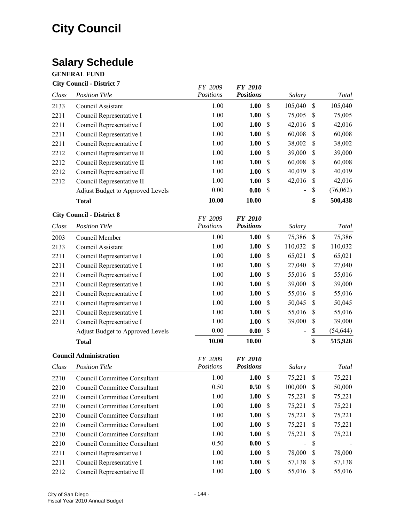### **Salary Schedule**

#### **GENERAL FUND**

### **City Council - District 7**

|       |                                         | <i>FY 2009</i>       | <i>FY 2010</i>                     |                   |         |                           |           |
|-------|-----------------------------------------|----------------------|------------------------------------|-------------------|---------|---------------------------|-----------|
| Class | <b>Position Title</b>                   | Positions            | <b>Positions</b>                   |                   | Salary  |                           | Total     |
| 2133  | Council Assistant                       | 1.00                 | 1.00                               | \$                | 105,040 | $\mathcal{S}$             | 105,040   |
| 2211  | Council Representative I                | 1.00                 | 1.00                               | \$                | 75,005  | \$                        | 75,005    |
| 2211  | Council Representative I                | 1.00                 | 1.00                               | \$                | 42,016  | \$                        | 42,016    |
| 2211  | Council Representative I                | 1.00                 | 1.00                               | $\mathbb{S}$      | 60,008  | \$                        | 60,008    |
| 2211  | Council Representative I                | 1.00                 | 1.00                               | \$                | 38,002  | \$                        | 38,002    |
| 2212  | Council Representative II               | 1.00                 | 1.00                               | \$                | 39,000  | \$                        | 39,000    |
| 2212  | Council Representative II               | 1.00                 | 1.00                               | \$                | 60,008  | \$                        | 60,008    |
| 2212  | Council Representative II               | 1.00                 | 1.00                               | \$                | 40,019  | $\mathsf{\$}$             | 40,019    |
| 2212  | Council Representative II               | 1.00                 | 1.00                               | \$                | 42,016  | \$                        | 42,016    |
|       | <b>Adjust Budget to Approved Levels</b> | 0.00                 | 0.00                               | \$                |         | \$                        | (76,062)  |
|       | <b>Total</b>                            | 10.00                | 10.00                              |                   |         | \$                        | 500,438   |
|       | <b>City Council - District 8</b>        |                      |                                    |                   |         |                           |           |
| Class | <b>Position Title</b>                   | FY 2009<br>Positions | <b>FY 2010</b><br><b>Positions</b> |                   | Salary  |                           | Total     |
|       |                                         |                      |                                    |                   |         |                           |           |
| 2003  | Council Member                          | 1.00                 | 1.00                               | $\mathbb{S}$      | 75,386  | $\mathbb{S}$              | 75,386    |
| 2133  | Council Assistant                       | 1.00                 | 1.00                               | \$                | 110,032 | \$                        | 110,032   |
| 2211  | Council Representative I                | 1.00                 | 1.00                               | \$                | 65,021  | \$                        | 65,021    |
| 2211  | Council Representative I                | 1.00                 | 1.00                               | \$                | 27,040  | \$                        | 27,040    |
| 2211  | Council Representative I                | 1.00                 | 1.00                               | $\$$              | 55,016  | \$                        | 55,016    |
| 2211  | Council Representative I                | 1.00                 | 1.00                               | \$                | 39,000  | \$                        | 39,000    |
| 2211  | Council Representative I                | 1.00                 | 1.00                               | \$                | 55,016  | \$                        | 55,016    |
| 2211  | Council Representative I                | 1.00                 | 1.00                               | \$                | 50,045  | \$                        | 50,045    |
| 2211  | Council Representative I                | 1.00                 | 1.00                               | \$                | 55,016  | \$                        | 55,016    |
| 2211  | Council Representative I                | 1.00                 | 1.00                               | \$                | 39,000  | \$                        | 39,000    |
|       | Adjust Budget to Approved Levels        | 0.00                 | 0.00                               | \$                |         | \$                        | (54, 644) |
|       | <b>Total</b>                            | 10.00                | 10.00                              |                   |         | \$                        | 515,928   |
|       | <b>Council Administration</b>           | FY 2009              | <b>FY 2010</b>                     |                   |         |                           |           |
| Class | <b>Position Title</b>                   | Positions            | <b>Positions</b>                   |                   | Salary  |                           | Total     |
| 2210  | <b>Council Committee Consultant</b>     | 1.00                 | 1.00                               | \$                | 75,221  | $\boldsymbol{\mathsf{S}}$ | 75,221    |
| 2210  | <b>Council Committee Consultant</b>     | 0.50                 | 0.50                               | \$                | 100,000 | \$                        | 50,000    |
| 2210  | <b>Council Committee Consultant</b>     | 1.00                 | 1.00                               | \$                | 75,221  | \$                        | 75,221    |
| 2210  | <b>Council Committee Consultant</b>     | 1.00                 | 1.00                               | \$                | 75,221  | \$                        | 75,221    |
| 2210  |                                         | $1 \Omega$           | 1 ሰሰ                               | $\mathbf{\sigma}$ | 75.221  | ¢                         | 75.221    |

2210 Council Committee Consultant 1.00 **1.00** \$ 75,221 \$ 75,221 2210 Council Committee Consultant 1.00 **1.00** \$ 75,221 \$ 75,221 2210 Council Committee Consultant 1.00 **1.00** \$ 75,221 \$ 75,221 2210 Council Committee Consultant 0.50 **0.00** \$ - \$ -2211 Council Representative I 1.00 **1.00** \$ 78,000 \$ 78,000 2211 Council Representative I 1.00 **1.00** \$ 57,138 \$ 57,138 2212 Council Representative II 1.00 **1.00** \$ 55,016 \$ 55,016